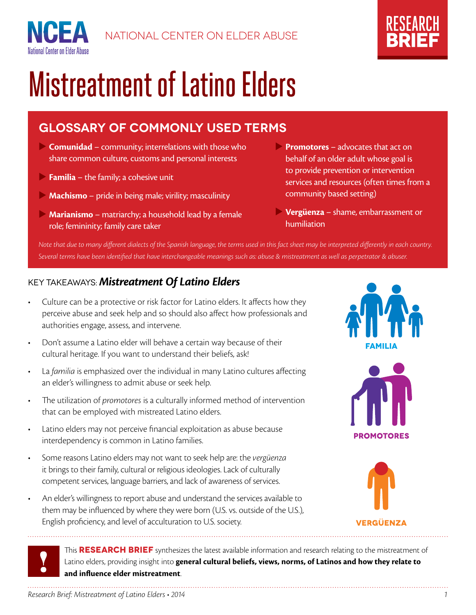



# Mistreatment of Latino Elders

# **GLOSSARY OF COMMONLY USED TERMS**

- **Comunidad** community; interrelations with those who share common culture, customs and personal interests
- **Familia** the family; a cohesive unit

National Center on Elder Abuse

- **Machismo** pride in being male; virility; masculinity
- **Marianismo** matriarchy; a household lead by a female role; femininity; family care taker
- **Promotores** advocates that act on behalf of an older adult whose goal is to provide prevention or intervention services and resources (often times from a community based setting)
- **Vergüenza** shame, embarrassment or humiliation

*Note that due to many different dialects of the Spanish language, the terms used in this fact sheet may be interpreted differently in each country. Several terms have been identified that have interchangeable meanings such as: abuse & mistreatment as well as perpetrator & abuser.*

### Key Takeaways: *Mistreatment Of Latino Elders*

- Culture can be a protective or risk factor for Latino elders. It affects how they perceive abuse and seek help and so should also affect how professionals and authorities engage, assess, and intervene.
- Don't assume a Latino elder will behave a certain way because of their cultural heritage. If you want to understand their beliefs, ask!
- La familia is emphasized over the individual in many Latino cultures affecting an elder's willingness to admit abuse or seek help.
- The utilization of *promotores* is a culturally informed method of intervention that can be employed with mistreated Latino elders.
- Latino elders may not perceive financial exploitation as abuse because interdependency is common in Latino families.
- Some reasons Latino elders may not want to seek help are: the *vergüenza* it brings to their family, cultural or religious ideologies. Lack of culturally competent services, language barriers, and lack of awareness of services.
- An elder's willingness to report abuse and understand the services available to them may be influenced by where they were born (U.S. vs. outside of the U.S.), English proficiency, and level of acculturation to U.S. society.







#### This **RESEARCH BRIEF** synthesizes the latest available information and research relating to the mistreatment of Latino elders, providing insight into **general cultural beliefs, views, norms, of Latinos and how they relate to and influence elder mistreatment**.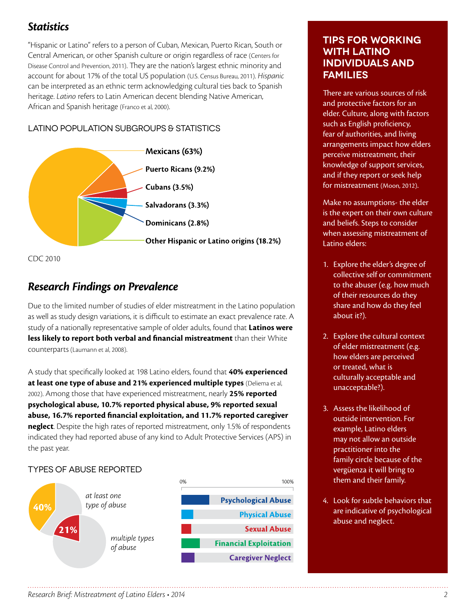## *Statistics*

"Hispanic or Latino" refers to a person of Cuban, Mexican, Puerto Rican, South or Central American, or other Spanish culture or origin regardless of race (Centers for Disease Control and Prevention, 2011). They are the nation's largest ethnic minority and account for about 17% of the total US population (U.S. Census Bureau, 2011). *Hispanic* can be interpreted as an ethnic term acknowledging cultural ties back to Spanish heritage. *Latino* refers to Latin American decent blending Native American, African and Spanish heritage (Franco et al, 2000).

#### Latino Population Subgroups & Statistics





## *Research Findings on Prevalence*

Due to the limited number of studies of elder mistreatment in the Latino population as well as study design variations, it is difficult to estimate an exact prevalence rate. A study of a nationally representative sample of older adults, found that **Latinos were less likely to report both verbal and financial mistreatment** than their White counterparts (Laumann et al, 2008).

A study that specifically looked at 198 Latino elders, found that **40% experienced at least one type of abuse and 21% experienced multiple types** (Deliema et al, 2002). Among those that have experienced mistreatment, nearly **25% reported psychological abuse, 10.7% reported physical abuse, 9% reported sexual abuse, 16.7% reported financial exploitation, and 11.7% reported caregiver neglect**. Despite the high rates of reported mistreatment, only 1.5% of respondents indicated they had reported abuse of any kind to Adult Protective Services (APS) in the past year.

#### TYPES OF ABUSE REPORTED



#### **Tips for working with Latino individuals and families**

There are various sources of risk and protective factors for an elder. Culture, along with factors such as English proficiency, fear of authorities, and living arrangements impact how elders perceive mistreatment, their knowledge of support services, and if they report or seek help for mistreatment (Moon, 2012).

Make no assumptions- the elder is the expert on their own culture and beliefs. Steps to consider when assessing mistreatment of Latino elders:

- 1. Explore the elder's degree of collective self or commitment to the abuser (e.g. how much of their resources do they share and how do they feel about it?).
- 2. Explore the cultural context of elder mistreatment (e.g. how elders are perceived or treated, what is culturally acceptable and unacceptable?).
- 3. Assess the likelihood of outside intervention. For example, Latino elders may not allow an outside practitioner into the family circle because of the vergüenza it will bring to them and their family.
- 4. Look for subtle behaviors that are indicative of psychological abuse and neglect.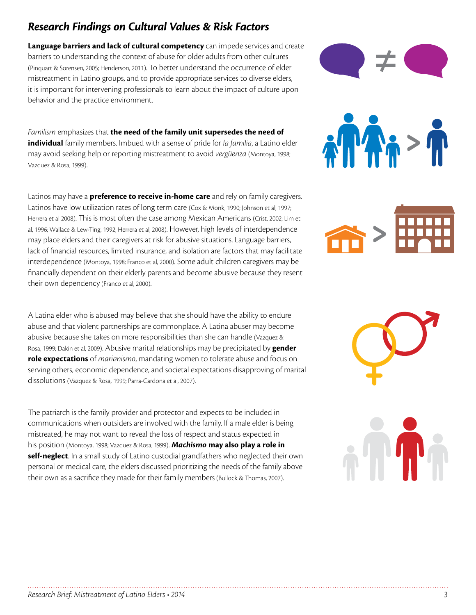# *Research Findings on Cultural Values & Risk Factors*

**Language barriers and lack of cultural competency** can impede services and create barriers to understanding the context of abuse for older adults from other cultures (Pinquart & Sorensen, 2005; Henderson, 2011). To better understand the occurrence of elder mistreatment in Latino groups, and to provide appropriate services to diverse elders, it is important for intervening professionals to learn about the impact of culture upon behavior and the practice environment.

*Familism* emphasizes that **the need of the family unit supersedes the need of individual** family members. Imbued with a sense of pride for *la familia*, a Latino elder may avoid seeking help or reporting mistreatment to avoid *vergüenza* (Montoya, 1998; Vazquez & Rosa, 1999).

Latinos may have a **preference to receive in-home care** and rely on family caregivers. Latinos have low utilization rates of long term care (Cox & Monk, 1990; Johnson et al, 1997; Herrera et al 2008). This is most often the case among Mexican Americans (Crist, 2002; Lim et al, 1996; Wallace & Lew-Ting, 1992; Herrera et al, 2008). However, high levels of interdependence may place elders and their caregivers at risk for abusive situations. Language barriers, lack of financial resources, limited insurance, and isolation are factors that may facilitate interdependence (Montoya, 1998; Franco et al, 2000). Some adult children caregivers may be financially dependent on their elderly parents and become abusive because they resent their own dependency (Franco et al, 2000).

A Latina elder who is abused may believe that she should have the ability to endure abuse and that violent partnerships are commonplace. A Latina abuser may become abusive because she takes on more responsibilities than she can handle (Vazquez & Rosa, 1999; Dakin et al, 2009). Abusive marital relationships may be precipitated by **gender role expectations** of *marianismo*, mandating women to tolerate abuse and focus on serving others, economic dependence, and societal expectations disapproving of marital dissolutions (Vazquez & Rosa, 1999; Parra-Cardona et al, 2007).

The patriarch is the family provider and protector and expects to be included in communications when outsiders are involved with the family. If a male elder is being mistreated, he may not want to reveal the loss of respect and status expected in his position (Montoya, 1998; Vazquez & Rosa, 1999). *Machismo* **may also play a role in self-neglect**. In a small study of Latino custodial grandfathers who neglected their own personal or medical care, the elders discussed prioritizing the needs of the family above their own as a sacrifice they made for their family members (Bullock & Thomas, 2007).



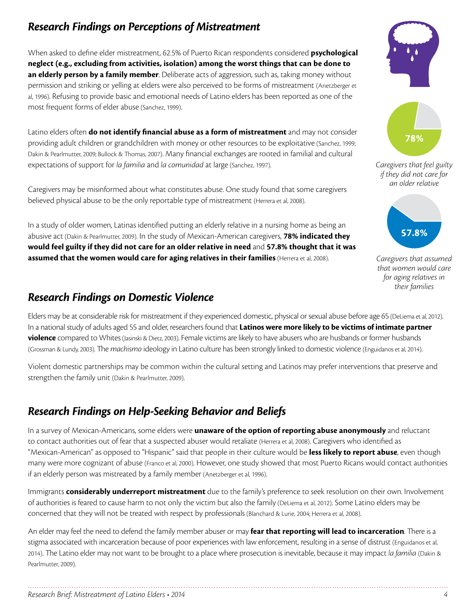# *Research Findings on Perceptions of Mistreatment*

When asked to define elder mistreatment, 62.5% of Puerto Rican respondents considered **psychological neglect (e.g., excluding from activities, isolation) among the worst things that can be done to an elderly person by a family member**. Deliberate acts of aggression, such as, taking money without permission and striking or yelling at elders were also perceived to be forms of mistreatment (Anetzberger et al, 1996). Refusing to provide basic and emotional needs of Latino elders has been reported as one of the most frequent forms of elder abuse (Sanchez, 1999).

Latino elders often **do not identify financial abuse as a form of mistreatment** and may not consider providing adult children or grandchildren with money or other resources to be exploitative (Sanchez, 1999; Dakin & Pearlmutter, 2009; Bullock & Thomas, 2007). Many financial exchanges are rooted in familial and cultural expectations of support for *la familia* and *la comunidad* at large (Sanchez, 1997).

Caregivers may be misinformed about what constitutes abuse. One study found that some caregivers believed physical abuse to be the only reportable type of mistreatment (Herrera et al, 2008).

In a study of older women, Latinas identified putting an elderly relative in a nursing home as being an abusive act (Dakin & Pearlmutter, 2009). In the study of Mexican-American caregivers, **78% indicated they would feel guilty if they did not care for an older relative in need** and **57.8% thought that it was assumed that the women would care for aging relatives in their families** (Herrera et al, 2008).

## *Research Findings on Domestic Violence*

Elders may be at considerable risk for mistreatment if they experienced domestic, physical or sexual abuse before age 65 (DeLiema et al, 2012). In a national study of adults aged 55 and older, researchers found that **Latinos were more likely to be victims of intimate partner violence** compared to Whites (Jasinski & Dietz, 2003). Female victims are likely to have abusers who are husbands or former husbands (Grossman & Lundy, 2003). The *machismo* ideology in Latino culture has been strongly linked to domestic violence (Enguidanos et al, 2014).

Violent domestic partnerships may be common within the cultural setting and Latinos may prefer interventions that preserve and strengthen the family unit (Dakin & Pearlmutter, 2009).

# *Research Findings on Help-Seeking Behavior and Beliefs*

In a survey of Mexican-Americans, some elders were **unaware of the option of reporting abuse anonymously** and reluctant to contact authorities out of fear that a suspected abuser would retaliate (Herrera et al, 2008). Caregivers who identified as "Mexican-American" as opposed to "Hispanic" said that people in their culture would be **less likely to report abuse**, even though many were more cognizant of abuse (Franco et al, 2000). However, one study showed that most Puerto Ricans would contact authorities if an elderly person was mistreated by a family member (Anetzberger et al, 1996).

Immigrants **considerably underreport mistreatment** due to the family's preference to seek resolution on their own. Involvement of authorities is feared to cause harm to not only the victim but also the family (DeLiema et al, 2012). Some Latino elders may be concerned that they will not be treated with respect by professionals (Blanchard & Lurie, 2004; Herrera et al, 2008).

An elder may feel the need to defend the family member abuser or may **fear that reporting will lead to incarceration**. There is a stigma associated with incarceration because of poor experiences with law enforcement, resulting in a sense of distrust (Enguidanos et al, 2014). The Latino elder may not want to be brought to a place where prosecution is inevitable, because it may impact *la familia* (Dakin & Pearlmutter, 2009).







*Caregivers that assumed that women would care for aging relatives in their families*